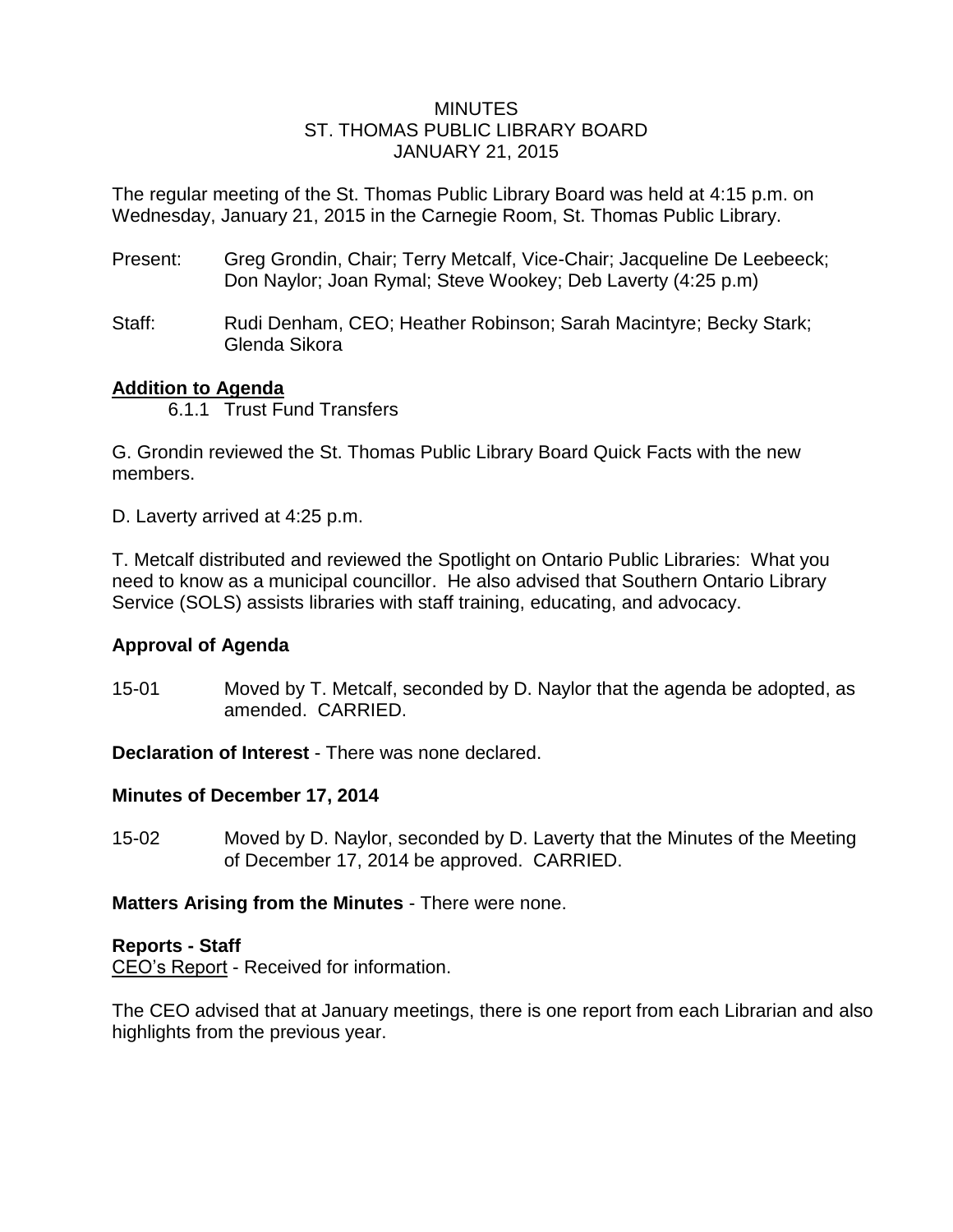## **MINUTES** ST. THOMAS PUBLIC LIBRARY BOARD JANUARY 21, 2015

The regular meeting of the St. Thomas Public Library Board was held at 4:15 p.m. on Wednesday, January 21, 2015 in the Carnegie Room, St. Thomas Public Library.

- Present: Greg Grondin, Chair; Terry Metcalf, Vice-Chair; Jacqueline De Leebeeck; Don Naylor; Joan Rymal; Steve Wookey; Deb Laverty (4:25 p.m)
- Staff: Rudi Denham, CEO; Heather Robinson; Sarah Macintyre; Becky Stark; Glenda Sikora

## **Addition to Agenda**

6.1.1 Trust Fund Transfers

G. Grondin reviewed the St. Thomas Public Library Board Quick Facts with the new members.

D. Laverty arrived at 4:25 p.m.

T. Metcalf distributed and reviewed the Spotlight on Ontario Public Libraries: What you need to know as a municipal councillor. He also advised that Southern Ontario Library Service (SOLS) assists libraries with staff training, educating, and advocacy.

# **Approval of Agenda**

15-01 Moved by T. Metcalf, seconded by D. Naylor that the agenda be adopted, as amended. CARRIED.

**Declaration of Interest** - There was none declared.

# **Minutes of December 17, 2014**

15-02 Moved by D. Naylor, seconded by D. Laverty that the Minutes of the Meeting of December 17, 2014 be approved. CARRIED.

**Matters Arising from the Minutes** - There were none.

#### **Reports - Staff**

CEO's Report - Received for information.

The CEO advised that at January meetings, there is one report from each Librarian and also highlights from the previous year.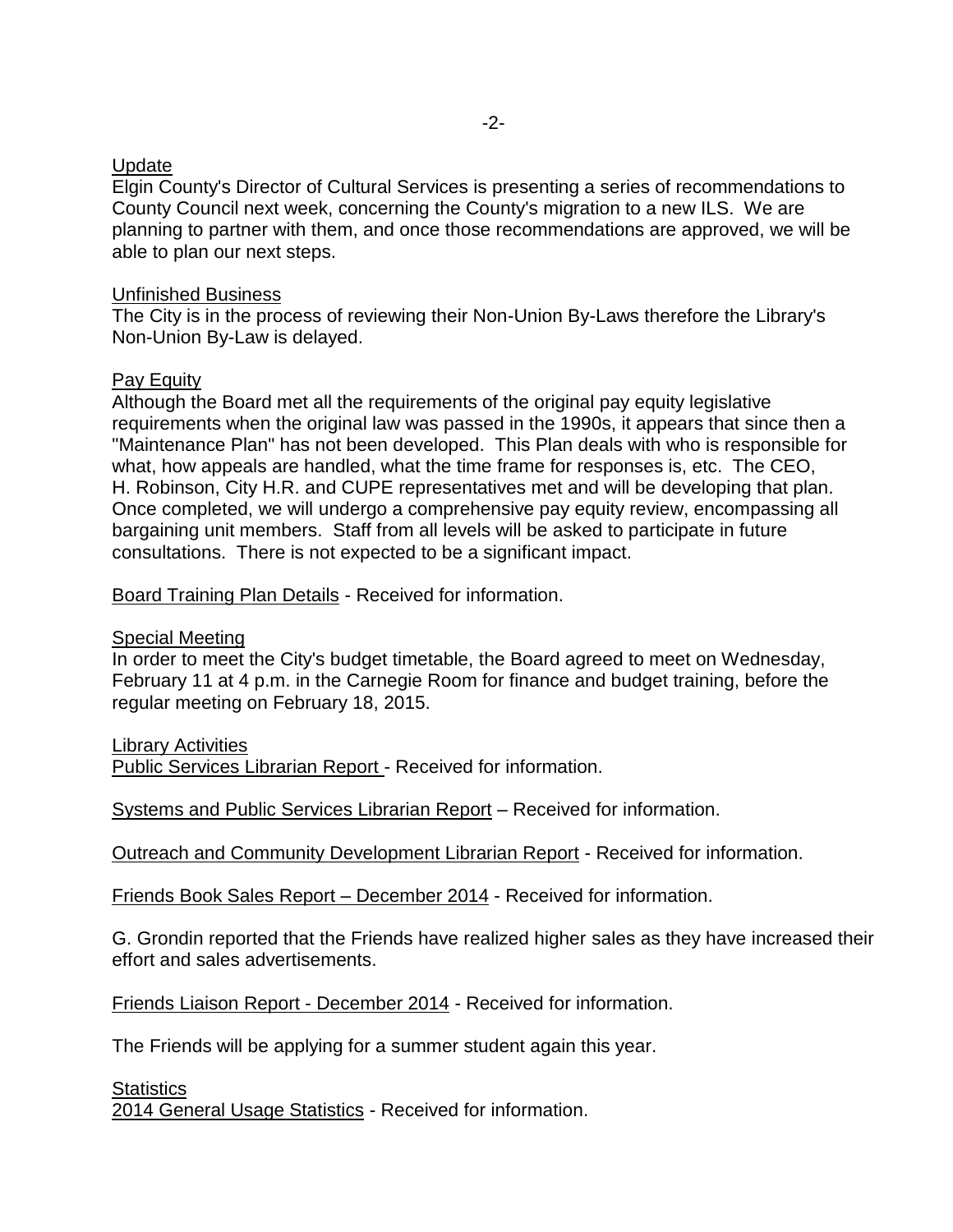## **Update**

Elgin County's Director of Cultural Services is presenting a series of recommendations to County Council next week, concerning the County's migration to a new ILS. We are planning to partner with them, and once those recommendations are approved, we will be able to plan our next steps.

#### Unfinished Business

The City is in the process of reviewing their Non-Union By-Laws therefore the Library's Non-Union By-Law is delayed.

## Pay Equity

Although the Board met all the requirements of the original pay equity legislative requirements when the original law was passed in the 1990s, it appears that since then a "Maintenance Plan" has not been developed. This Plan deals with who is responsible for what, how appeals are handled, what the time frame for responses is, etc. The CEO, H. Robinson, City H.R. and CUPE representatives met and will be developing that plan. Once completed, we will undergo a comprehensive pay equity review, encompassing all bargaining unit members. Staff from all levels will be asked to participate in future consultations. There is not expected to be a significant impact.

Board Training Plan Details - Received for information.

Special Meeting

In order to meet the City's budget timetable, the Board agreed to meet on Wednesday, February 11 at 4 p.m. in the Carnegie Room for finance and budget training, before the regular meeting on February 18, 2015.

Library Activities

Public Services Librarian Report - Received for information.

Systems and Public Services Librarian Report – Received for information.

Outreach and Community Development Librarian Report - Received for information.

Friends Book Sales Report – December 2014 - Received for information.

G. Grondin reported that the Friends have realized higher sales as they have increased their effort and sales advertisements.

Friends Liaison Report - December 2014 - Received for information.

The Friends will be applying for a summer student again this year.

**Statistics** 

2014 General Usage Statistics - Received for information.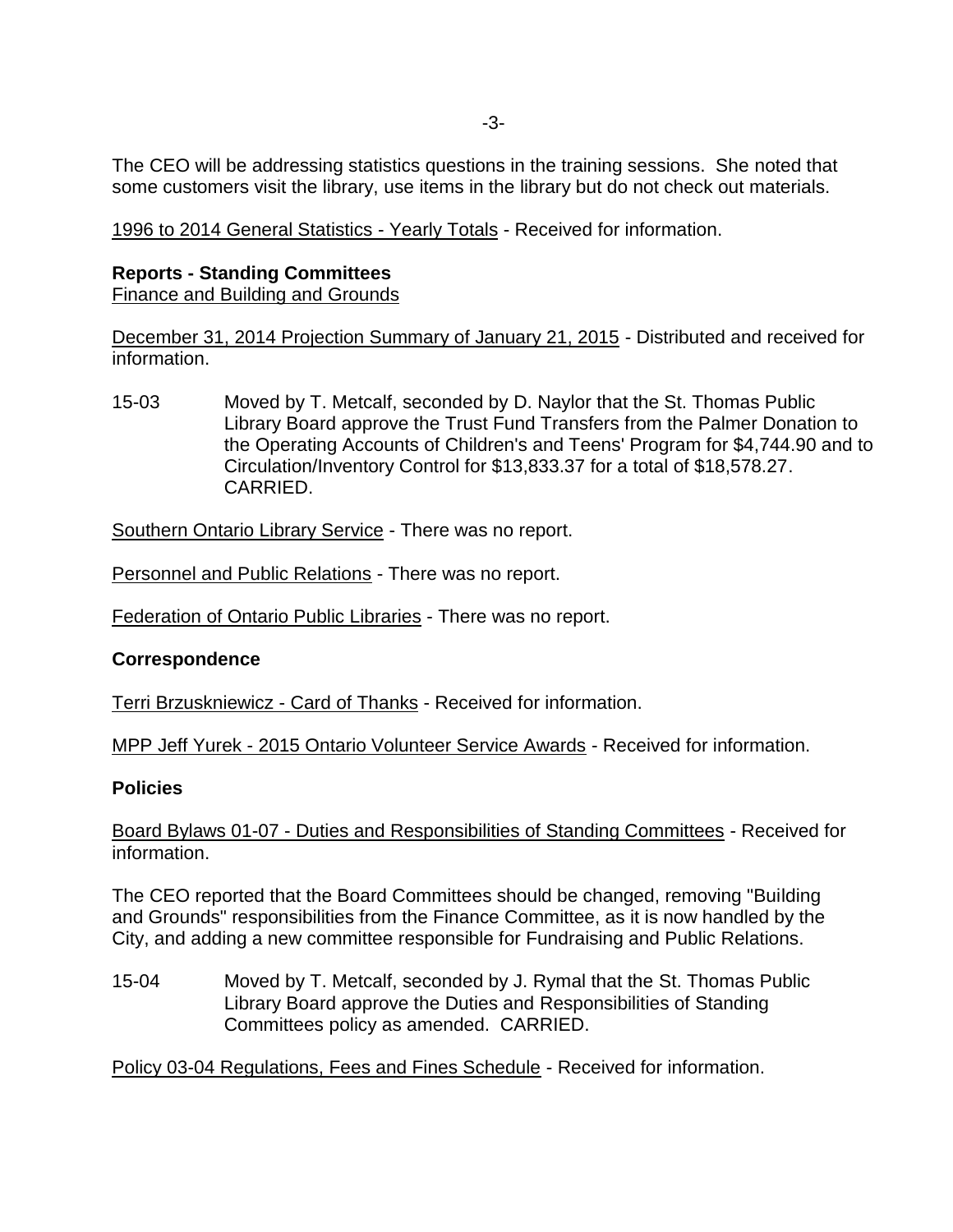-3-

The CEO will be addressing statistics questions in the training sessions. She noted that some customers visit the library, use items in the library but do not check out materials.

1996 to 2014 General Statistics - Yearly Totals - Received for information.

# **Reports - Standing Committees**

Finance and Building and Grounds

December 31, 2014 Projection Summary of January 21, 2015 - Distributed and received for information.

15-03 Moved by T. Metcalf, seconded by D. Naylor that the St. Thomas Public Library Board approve the Trust Fund Transfers from the Palmer Donation to the Operating Accounts of Children's and Teens' Program for \$4,744.90 and to Circulation/Inventory Control for \$13,833.37 for a total of \$18,578.27. CARRIED.

Southern Ontario Library Service - There was no report.

Personnel and Public Relations - There was no report.

Federation of Ontario Public Libraries - There was no report.

# **Correspondence**

Terri Brzuskniewicz - Card of Thanks - Received for information.

MPP Jeff Yurek - 2015 Ontario Volunteer Service Awards - Received for information.

# **Policies**

Board Bylaws 01-07 - Duties and Responsibilities of Standing Committees - Received for information.

The CEO reported that the Board Committees should be changed, removing "Building and Grounds" responsibilities from the Finance Committee, as it is now handled by the City, and adding a new committee responsible for Fundraising and Public Relations.

15-04 Moved by T. Metcalf, seconded by J. Rymal that the St. Thomas Public Library Board approve the Duties and Responsibilities of Standing Committees policy as amended. CARRIED.

Policy 03-04 Regulations, Fees and Fines Schedule - Received for information.